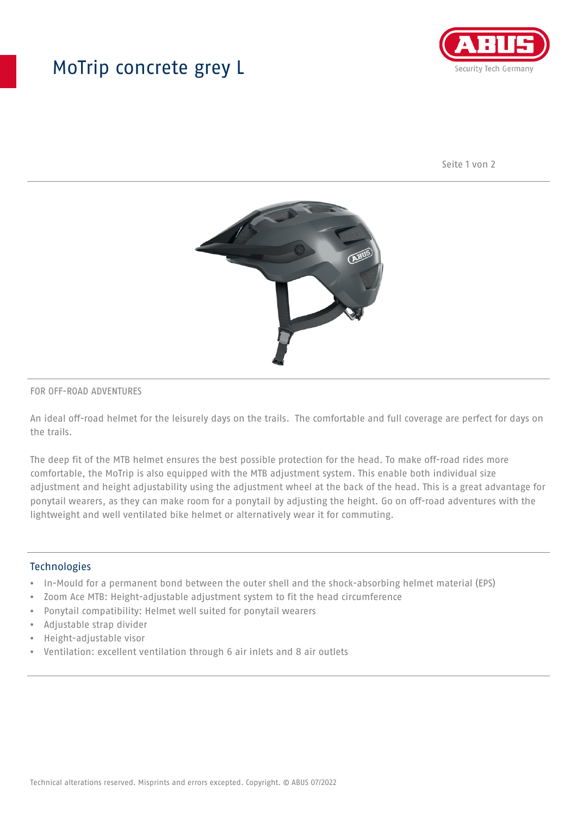## MoTrip concrete grey L



Seite 1 von 2



#### FOR OFF-ROAD ADVENTURES

An ideal off-road helmet for the leisurely days on the trails. The comfortable and full coverage are perfect for days on the trails.

The deep fit of the MTB helmet ensures the best possible protection for the head. To make off-road rides more comfortable, the MoTrip is also equipped with the MTB adjustment system. This enable both individual size adjustment and height adjustability using the adjustment wheel at the back of the head. This is a great advantage for ponytail wearers, as they can make room for a ponytail by adjusting the height. Go on off-road adventures with the lightweight and well ventilated bike helmet or alternatively wear it for commuting.

#### Technologies

- In-Mould for a permanent bond between the outer shell and the shock-absorbing helmet material (EPS)
- Zoom Ace MTB: Height-adjustable adjustment system to fit the head circumference
- Ponytail compatibility: Helmet well suited for ponytail wearers
- Adjustable strap divider
- Height-adjustable visor
- Ventilation: excellent ventilation through 6 air inlets and 8 air outlets